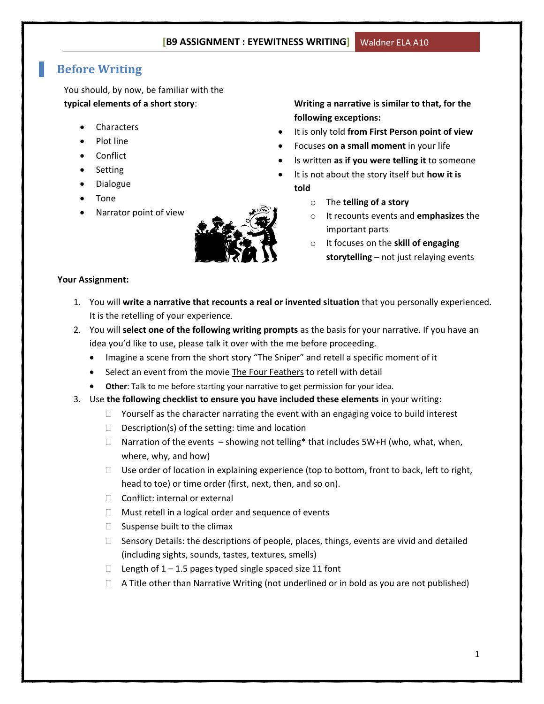# **Before Writing**

You should, by now, be familiar with the **typical elements of a short story**:

- Characters
- Plot line
- Conflict
- Setting
- Dialogue
- Tone
- Narrator point of view



**Writing a narrative is similar to that, for the following exceptions:**

- It is only told **from First Person point of view**
- Focuses **on a small moment** in your life
- Is written **as if you were telling it** to someone
- It is not about the story itself but **how it is told**
	- o The **telling of a story**
	- o It recounts events and **emphasizes** the important parts
	- o It focuses on the **skill of engaging storytelling** – not just relaying events

#### **Your Assignment:**

- 1. You will **write a narrative that recounts a real or invented situation** that you personally experienced. It is the retelling of your experience.
- 2. You will **select one of the following writing prompts** as the basis for your narrative. If you have an idea you'd like to use, please talk it over with the me before proceeding.
	- Imagine a scene from the short story "The Sniper" and retell a specific moment of it
	- Select an event from the movie The Four Feathers to retell with detail
	- **Other**: Talk to me before starting your narrative to get permission for your idea.
- 3. Use **the following checklist to ensure you have included these elements** in your writing:
	- $\Box$  Yourself as the character narrating the event with an engaging voice to build interest
	- $\Box$  Description(s) of the setting: time and location
	- $\Box$  Narration of the events showing not telling\* that includes 5W+H (who, what, when, where, why, and how)
	- $\Box$  Use order of location in explaining experience (top to bottom, front to back, left to right, head to toe) or time order (first, next, then, and so on).
	- □ Conflict: internal or external
	- $\Box$  Must retell in a logical order and sequence of events
	- $\Box$  Suspense built to the climax
	- $\Box$  Sensory Details: the descriptions of people, places, things, events are vivid and detailed (including sights, sounds, tastes, textures, smells)
	- $\Box$  Length of 1 1.5 pages typed single spaced size 11 font
	- $\Box$  A Title other than Narrative Writing (not underlined or in bold as you are not published)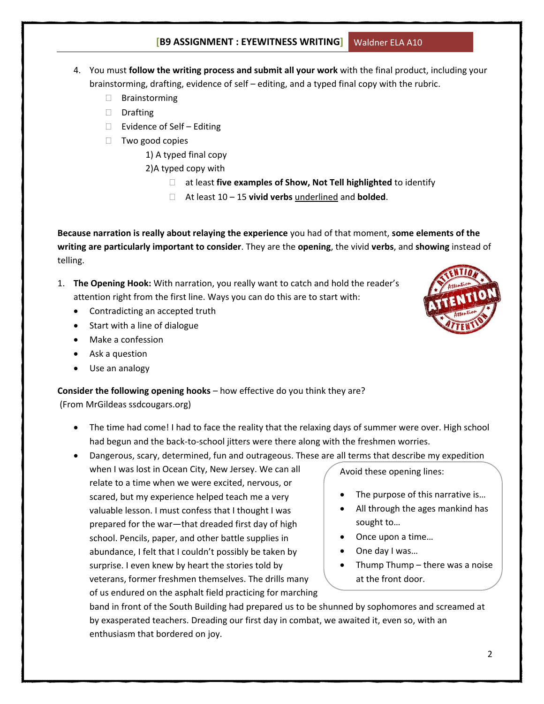- 4. You must **follow the writing process and submit all your work** with the final product, including your brainstorming, drafting, evidence of self – editing, and a typed final copy with the rubric.
	- □ Brainstorming
	- Drafting
	- $\Box$  Evidence of Self Editing
	- $\Box$  Two good copies
		- 1) A typed final copy
		- 2)A typed copy with
			- at least **five examples of Show, Not Tell highlighted** to identify
			- At least 10 15 **vivid verbs** underlined and **bolded**.

**Because narration is really about relaying the experience** you had of that moment, **some elements of the writing are particularly important to consider**. They are the **opening**, the vivid **verbs**, and **showing** instead of telling.

- 1. **The Opening Hook:** With narration, you really want to catch and hold the reader's attention right from the first line. Ways you can do this are to start with:
	- Contradicting an accepted truth
	- Start with a line of dialogue
	- Make a confession
	- Ask a question
	- Use an analogy

**Consider the following opening hooks** – how effective do you think they are? (From MrGildeas ssdcougars.org)

- The time had come! I had to face the reality that the relaxing days of summer were over. High school had begun and the back-to-school jitters were there along with the freshmen worries.
- Dangerous, scary, determined, fun and outrageous. These are all terms that describe my expedition

when I was lost in Ocean City, New Jersey. We can all relate to a time when we were excited, nervous, or scared, but my experience helped teach me a very valuable lesson. I must confess that I thought I was prepared for the war—that dreaded first day of high school. Pencils, paper, and other battle supplies in abundance, I felt that I couldn't possibly be taken by surprise. I even knew by heart the stories told by veterans, former freshmen themselves. The drills many of us endured on the asphalt field practicing for marching

band in front of the South Building had prepared us to be shunned by sophomores and screamed at by exasperated teachers. Dreading our first day in combat, we awaited it, even so, with an enthusiasm that bordered on joy.



Avoid these opening lines:

 Once upon a time… One day I was…

at the front door.

sought to…

 The purpose of this narrative is… All through the ages mankind has

Thump Thump – there was a noise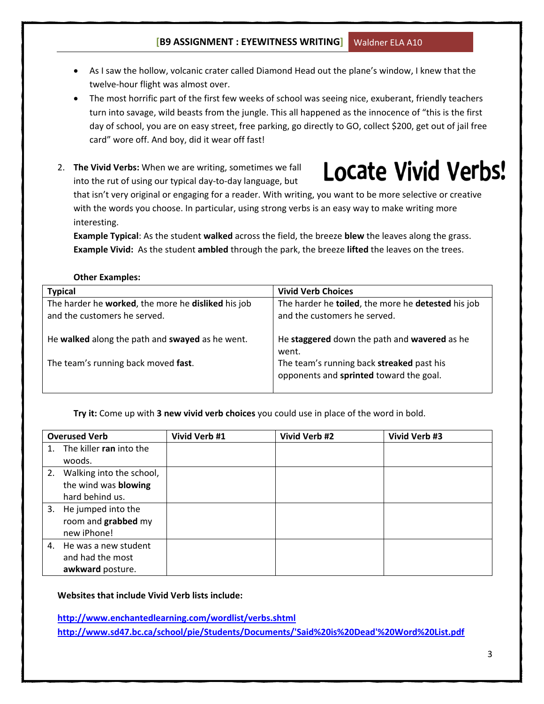- As I saw the hollow, volcanic crater called Diamond Head out the plane's window, I knew that the twelve-hour flight was almost over.
- The most horrific part of the first few weeks of school was seeing nice, exuberant, friendly teachers turn into savage, wild beasts from the jungle. This all happened as the innocence of "this is the first day of school, you are on easy street, free parking, go directly to GO, collect \$200, get out of jail free card" wore off. And boy, did it wear off fast!
- 2. **The Vivid Verbs:** When we are writing, sometimes we fall into the rut of using our typical day-to-day language, but



that isn't very original or engaging for a reader. With writing, you want to be more selective or creative with the words you choose. In particular, using strong verbs is an easy way to make writing more interesting.

**Example Typical**: As the student **walked** across the field, the breeze **blew** the leaves along the grass. **Example Vivid:** As the student **ambled** through the park, the breeze **lifted** the leaves on the trees.

#### **Other Examples:**

| <b>Typical</b>                                     | <b>Vivid Verb Choices</b>                          |
|----------------------------------------------------|----------------------------------------------------|
| The harder he worked, the more he disliked his job | The harder he toiled, the more he detested his job |
| and the customers he served.                       | and the customers he served.                       |
|                                                    |                                                    |
| He walked along the path and swayed as he went.    | He staggered down the path and wavered as he       |
|                                                    | went.                                              |
| The team's running back moved fast.                | The team's running back streaked past his          |
|                                                    | opponents and sprinted toward the goal.            |
|                                                    |                                                    |

**Try it:** Come up with **3 new vivid verb choices** you could use in place of the word in bold.

|    | <b>Overused Verb</b>        | Vivid Verb #1 | Vivid Verb #2 | Vivid Verb #3 |
|----|-----------------------------|---------------|---------------|---------------|
| 1. | The killer ran into the     |               |               |               |
|    | woods.                      |               |               |               |
|    | 2. Walking into the school, |               |               |               |
|    | the wind was blowing        |               |               |               |
|    | hard behind us.             |               |               |               |
|    | 3. He jumped into the       |               |               |               |
|    | room and grabbed my         |               |               |               |
|    | new iPhone!                 |               |               |               |
|    | 4. He was a new student     |               |               |               |
|    | and had the most            |               |               |               |
|    | awkward posture.            |               |               |               |

#### **Websites that include Vivid Verb lists include:**

**<http://www.enchantedlearning.com/wordlist/verbs.shtml> [http://www.sd47.bc.ca/school/pie/Students/Documents/'Said%20is%20Dead'%20Word%20List.pdf](http://www.sd47.bc.ca/school/pie/Students/Documents/)**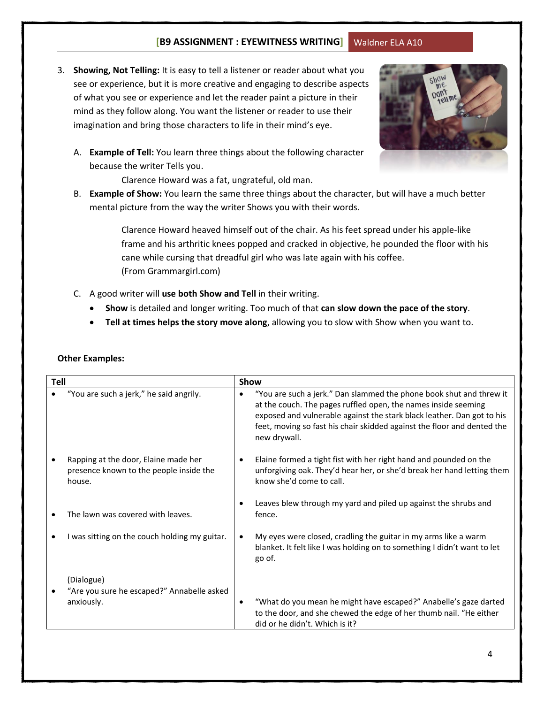3. **Showing, Not Telling:** It is easy to tell a listener or reader about what you see or experience, but it is more creative and engaging to describe aspects of what you see or experience and let the reader paint a picture in their mind as they follow along. You want the listener or reader to use their imagination and bring those characters to life in their mind's eye.



A. **Example of Tell:** You learn three things about the following character because the writer Tells you.

Clarence Howard was a fat, ungrateful, old man.

B. **Example of Show:** You learn the same three things about the character, [but will have a much better](http://www.google.ca/url?sa=i&rct=j&q=&esrc=s&frm=1&source=images&cd=&cad=rja&docid=c3Ri1G85JuVZfM&tbnid=ZZRBOV_5ognYXM:&ved=0CAUQjRw&url=http://msmaloneysclass.wordpress.com/tag/showing-sentence/&ei=o50SUsTmO8iFqQGKtoDgAg&bvm=bv.50768961,d.aWc&psig=AFQjCNGIxszX6Q-oxhQq_ArdsRQ53PddXg&ust=1377038014636323)  mental picture from the way the writer Shows you with their words.

> Clarence Howard heaved himself out of the chair. As his feet spread under his apple-like frame and his arthritic knees popped and cracked in objective, he pounded the floor with his cane while cursing that dreadful girl who was late again with his coffee. (From Grammargirl.com)

- C. A good writer will **use both Show and Tell** in their writing.
	- **Show** is detailed and longer writing. Too much of that **can slow down the pace of the story**.
	- **Tell at times helps the story move along**, allowing you to slow with Show when you want to.

| Tell |                                                                                           | Show                                                                                                                                                                                                                                                                                                       |  |  |  |
|------|-------------------------------------------------------------------------------------------|------------------------------------------------------------------------------------------------------------------------------------------------------------------------------------------------------------------------------------------------------------------------------------------------------------|--|--|--|
|      | "You are such a jerk," he said angrily.                                                   | "You are such a jerk." Dan slammed the phone book shut and threw it<br>at the couch. The pages ruffled open, the names inside seeming<br>exposed and vulnerable against the stark black leather. Dan got to his<br>feet, moving so fast his chair skidded against the floor and dented the<br>new drywall. |  |  |  |
|      | Rapping at the door, Elaine made her<br>presence known to the people inside the<br>house. | Elaine formed a tight fist with her right hand and pounded on the<br>$\bullet$<br>unforgiving oak. They'd hear her, or she'd break her hand letting them<br>know she'd come to call.                                                                                                                       |  |  |  |
|      | The lawn was covered with leaves.                                                         | Leaves blew through my yard and piled up against the shrubs and<br>fence.                                                                                                                                                                                                                                  |  |  |  |
|      | I was sitting on the couch holding my guitar.                                             | My eyes were closed, cradling the guitar in my arms like a warm<br>٠<br>blanket. It felt like I was holding on to something I didn't want to let<br>go of.                                                                                                                                                 |  |  |  |
|      | (Dialogue)                                                                                |                                                                                                                                                                                                                                                                                                            |  |  |  |
|      | "Are you sure he escaped?" Annabelle asked<br>anxiously.                                  | "What do you mean he might have escaped?" Anabelle's gaze darted<br>$\bullet$<br>to the door, and she chewed the edge of her thumb nail. "He either<br>did or he didn't. Which is it?                                                                                                                      |  |  |  |

#### **Other Examples:**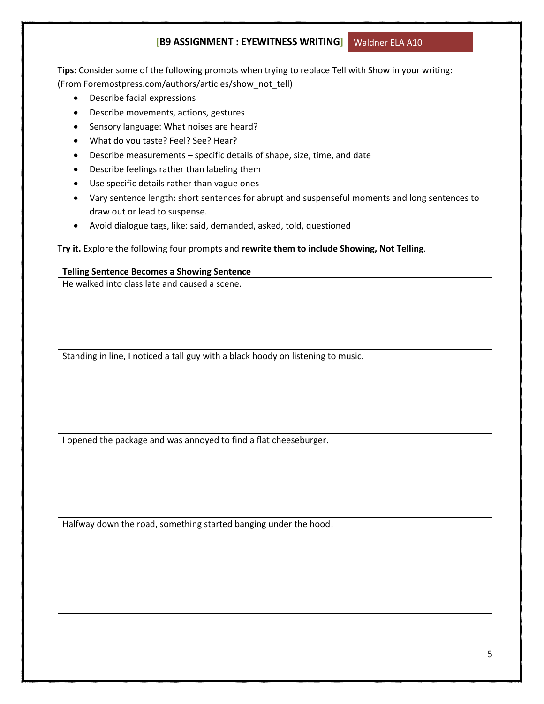**Tips:** Consider some of the following prompts when trying to replace Tell with Show in your writing: (From Foremostpress.com/authors/articles/show\_not\_tell)

- Describe facial expressions
- Describe movements, actions, gestures
- Sensory language: What noises are heard?
- What do you taste? Feel? See? Hear?
- Describe measurements specific details of shape, size, time, and date
- Describe feelings rather than labeling them
- Use specific details rather than vague ones
- Vary sentence length: short sentences for abrupt and suspenseful moments and long sentences to draw out or lead to suspense.
- Avoid dialogue tags, like: said, demanded, asked, told, questioned

#### **Try it.** Explore the following four prompts and **rewrite them to include Showing, Not Telling**.

# **Telling Sentence Becomes a Showing Sentence** He walked into class late and caused a scene. Standing in line, I noticed a tall guy with a black hoody on listening to music. I opened the package and was annoyed to find a flat cheeseburger. Halfway down the road, something started banging under the hood!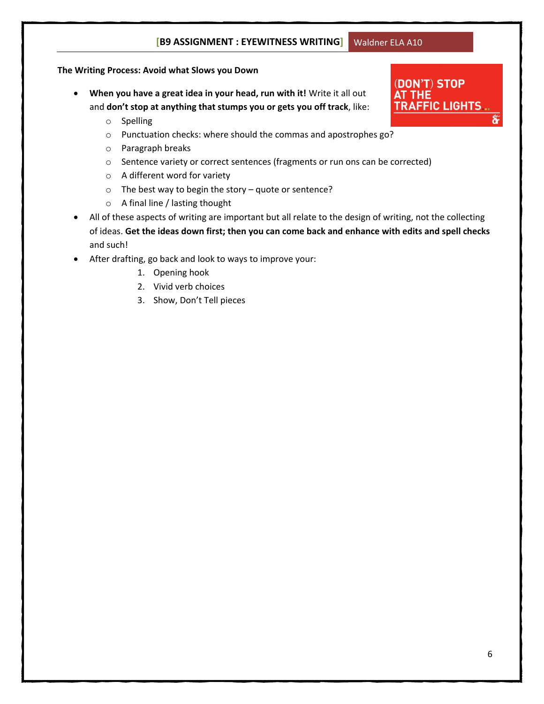(DON'T) STOP

**TRAFFIC LIGHTS** 

AT THE

#### **The Writing Process: Avoid what Slows you Down**

- **When you have a great idea in your head, run with it!** Write it all out and **don't stop at anything that stumps you or gets you off track**, like:
	- o Spelling
	- o Punctuation checks: where should the commas and apostrophes go?
	- o Paragraph breaks
	- o Sentence variety or correct sentences (fragments or run ons can be corrected)
	- o A different word for variety
	- o The best way to begin the story quote or sentence?
	- o A final line / lasting thought
- All of these aspects of writing are important but all relate to the design of writing, not the collecting of ideas. **Get the ideas down first; then you can come back and enhance with edits and spell checks** and such!
- After drafting, go back and look to ways to improve your:
	- 1. Opening hook
	- 2. Vivid verb choices
	- 3. Show, Don't Tell pieces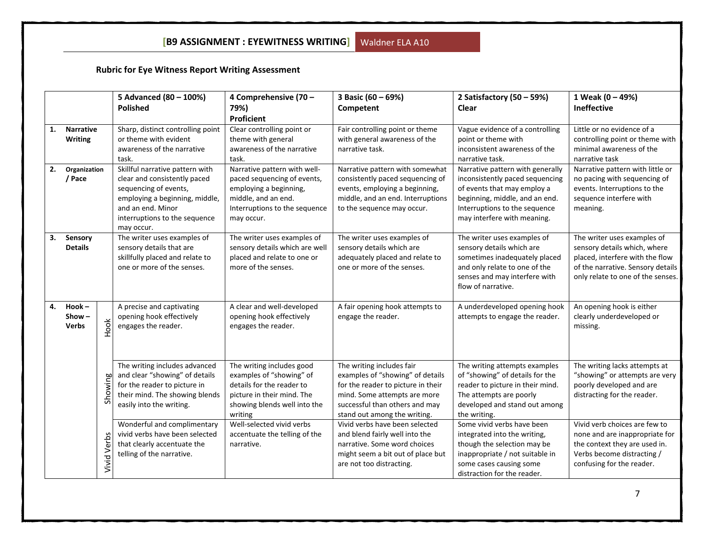# **Rubric for Eye Witness Report Writing Assessment**

|    |                                      |                                    |                    | 5 Advanced (80 - 100%)                                                                                                                                                                         | 4 Comprehensive (70 -                                                                                                                                       | 3 Basic (60 - 69%)                                                                                                                                                                                    | 2 Satisfactory $(50 - 59%)$                                                                                                                                                                          | 1 Weak (0 - 49%)                                                                                                                                                         |
|----|--------------------------------------|------------------------------------|--------------------|------------------------------------------------------------------------------------------------------------------------------------------------------------------------------------------------|-------------------------------------------------------------------------------------------------------------------------------------------------------------|-------------------------------------------------------------------------------------------------------------------------------------------------------------------------------------------------------|------------------------------------------------------------------------------------------------------------------------------------------------------------------------------------------------------|--------------------------------------------------------------------------------------------------------------------------------------------------------------------------|
|    |                                      |                                    |                    | <b>Polished</b>                                                                                                                                                                                | 79%)                                                                                                                                                        | Competent                                                                                                                                                                                             | Clear                                                                                                                                                                                                | Ineffective                                                                                                                                                              |
|    |                                      |                                    |                    |                                                                                                                                                                                                | Proficient                                                                                                                                                  |                                                                                                                                                                                                       |                                                                                                                                                                                                      |                                                                                                                                                                          |
| 1. |                                      | <b>Narrative</b><br><b>Writing</b> |                    | Sharp, distinct controlling point<br>or theme with evident<br>awareness of the narrative<br>task.                                                                                              | Clear controlling point or<br>theme with general<br>awareness of the narrative<br>task.                                                                     | Fair controlling point or theme<br>with general awareness of the<br>narrative task.                                                                                                                   | Vague evidence of a controlling<br>point or theme with<br>inconsistent awareness of the<br>narrative task.                                                                                           | Little or no evidence of a<br>controlling point or theme with<br>minimal awareness of the<br>narrative task                                                              |
| 2. | / Pace                               | Organization                       |                    | Skillful narrative pattern with<br>clear and consistently paced<br>sequencing of events,<br>employing a beginning, middle,<br>and an end. Minor<br>interruptions to the sequence<br>may occur. | Narrative pattern with well-<br>paced sequencing of events,<br>employing a beginning,<br>middle, and an end.<br>Interruptions to the sequence<br>may occur. | Narrative pattern with somewhat<br>consistently paced sequencing of<br>events, employing a beginning,<br>middle, and an end. Interruptions<br>to the sequence may occur.                              | Narrative pattern with generally<br>inconsistently paced sequencing<br>of events that may employ a<br>beginning, middle, and an end.<br>Interruptions to the sequence<br>may interfere with meaning. | Narrative pattern with little or<br>no pacing with sequencing of<br>events. Interruptions to the<br>sequence interfere with<br>meaning.                                  |
| 3. | Sensory<br><b>Details</b>            |                                    |                    | The writer uses examples of<br>sensory details that are<br>skillfully placed and relate to<br>one or more of the senses.                                                                       | The writer uses examples of<br>sensory details which are well<br>placed and relate to one or<br>more of the senses.                                         | The writer uses examples of<br>sensory details which are<br>adequately placed and relate to<br>one or more of the senses.                                                                             | The writer uses examples of<br>sensory details which are<br>sometimes inadequately placed<br>and only relate to one of the<br>senses and may interfere with<br>flow of narrative.                    | The writer uses examples of<br>sensory details which, where<br>placed, interfere with the flow<br>of the narrative. Sensory details<br>only relate to one of the senses. |
| 4. | $Hook -$<br>Show $-$<br><b>Verbs</b> |                                    | Hook               | A precise and captivating<br>opening hook effectively<br>engages the reader.                                                                                                                   | A clear and well-developed<br>opening hook effectively<br>engages the reader.                                                                               | A fair opening hook attempts to<br>engage the reader.                                                                                                                                                 | A underdeveloped opening hook<br>attempts to engage the reader.                                                                                                                                      | An opening hook is either<br>clearly underdeveloped or<br>missing.                                                                                                       |
|    |                                      |                                    | Showing            | The writing includes advanced<br>and clear "showing" of details<br>for the reader to picture in<br>their mind. The showing blends<br>easily into the writing.                                  | The writing includes good<br>examples of "showing" of<br>details for the reader to<br>picture in their mind. The<br>showing blends well into the<br>writing | The writing includes fair<br>examples of "showing" of details<br>for the reader to picture in their<br>mind. Some attempts are more<br>successful than others and may<br>stand out among the writing. | The writing attempts examples<br>of "showing" of details for the<br>reader to picture in their mind.<br>The attempts are poorly<br>developed and stand out among<br>the writing.                     | The writing lacks attempts at<br>"showing" or attempts are very<br>poorly developed and are<br>distracting for the reader.                                               |
|    |                                      |                                    | <b>Vivid Verbs</b> | Wonderful and complimentary<br>vivid verbs have been selected<br>that clearly accentuate the<br>telling of the narrative.                                                                      | Well-selected vivid verbs<br>accentuate the telling of the<br>narrative.                                                                                    | Vivid verbs have been selected<br>and blend fairly well into the<br>narrative. Some word choices<br>might seem a bit out of place but<br>are not too distracting.                                     | Some vivid verbs have been<br>integrated into the writing,<br>though the selection may be<br>inappropriate / not suitable in<br>some cases causing some<br>distraction for the reader.               | Vivid verb choices are few to<br>none and are inappropriate for<br>the context they are used in.<br>Verbs become distracting /<br>confusing for the reader.              |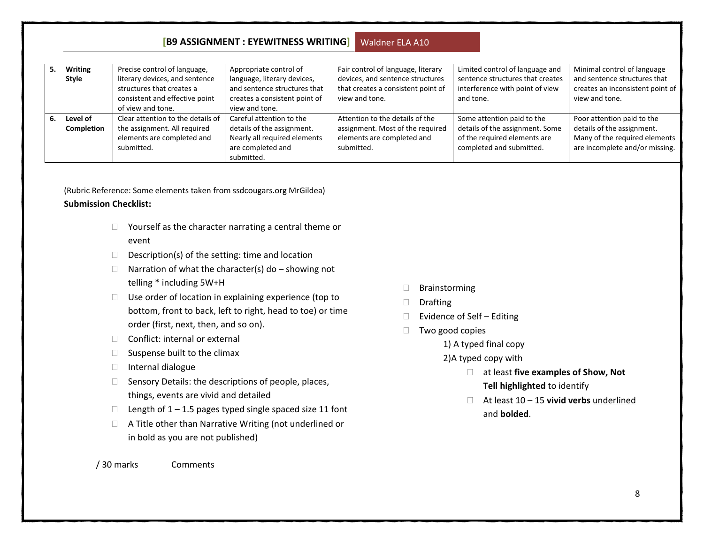| 5. | <b>Writing</b> | Precise control of language,      | Appropriate control of        | Fair control of language, literary | Limited control of language and  | Minimal control of language      |
|----|----------------|-----------------------------------|-------------------------------|------------------------------------|----------------------------------|----------------------------------|
|    | Style          | literary devices, and sentence    | language, literary devices,   | devices, and sentence structures   | sentence structures that creates | and sentence structures that     |
|    |                | structures that creates a         | and sentence structures that  | that creates a consistent point of | interference with point of view  | creates an inconsistent point of |
|    |                | consistent and effective point    | creates a consistent point of | view and tone.                     | and tone.                        | view and tone.                   |
|    |                | of view and tone.                 | view and tone.                |                                    |                                  |                                  |
| 6. | Level of       | Clear attention to the details of | Careful attention to the      | Attention to the details of the    | Some attention paid to the       | Poor attention paid to the       |
|    | Completion     | the assignment. All required      | details of the assignment.    | assignment. Most of the required   | details of the assignment. Some  | details of the assignment.       |
|    |                | elements are completed and        | Nearly all required elements  | elements are completed and         | of the required elements are     | Many of the required elements    |
|    |                | submitted.                        | are completed and             | submitted.                         | completed and submitted.         | are incomplete and/or missing.   |
|    |                |                                   | submitted.                    |                                    |                                  |                                  |

(Rubric Reference: Some elements taken from ssdcougars.org MrGildea) **Submission Checklist:**

- □ Yourself as the character narrating a central theme or event
- $\Box$  Description(s) of the setting: time and location
- $\Box$  Narration of what the character(s) do showing not telling \* including 5W+H
- $\Box$  Use order of location in explaining experience (top to bottom, front to back, left to right, head to toe) or time order (first, next, then, and so on).
- $\Box$  Conflict: internal or external
- $\square$  Suspense built to the climax
- Internal dialogue
- $\Box$  Sensory Details: the descriptions of people, places, things, events are vivid and detailed
- $\Box$  Length of 1 1.5 pages typed single spaced size 11 font
- □ A Title other than Narrative Writing (not underlined or in bold as you are not published)
- Brainstorming
- Drafting
- $\Box$  Evidence of Self Editing
- $\Box$  Two good copies
	- 1) A typed final copy
	- 2)A typed copy with
		- at least **five examples of Show, Not Tell highlighted** to identify
		- At least 10 15 **vivid verbs** underlined and **bolded**.

/ 30 marks Comments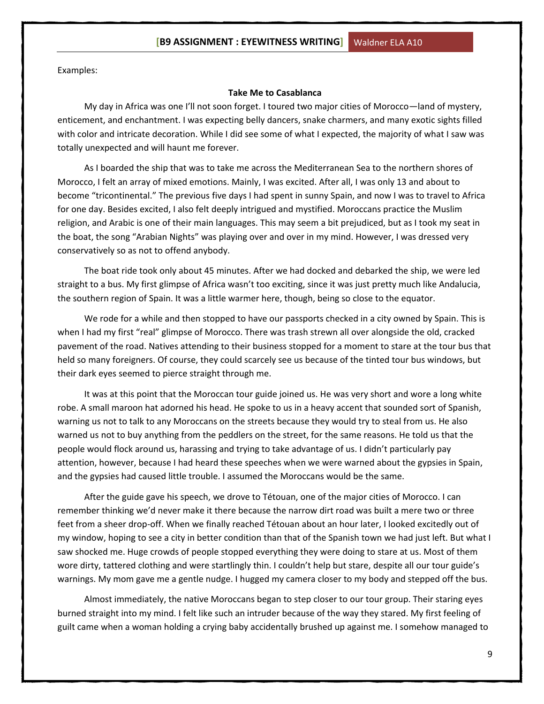Examples:

#### **Take Me to Casablanca**

My day in Africa was one I'll not soon forget. I toured two major cities of Morocco—land of mystery, enticement, and enchantment. I was expecting belly dancers, snake charmers, and many exotic sights filled with color and intricate decoration. While I did see some of what I expected, the majority of what I saw was totally unexpected and will haunt me forever.

As I boarded the ship that was to take me across the Mediterranean Sea to the northern shores of Morocco, I felt an array of mixed emotions. Mainly, I was excited. After all, I was only 13 and about to become "tricontinental." The previous five days I had spent in sunny Spain, and now I was to travel to Africa for one day. Besides excited, I also felt deeply intrigued and mystified. Moroccans practice the Muslim religion, and Arabic is one of their main languages. This may seem a bit prejudiced, but as I took my seat in the boat, the song "Arabian Nights" was playing over and over in my mind. However, I was dressed very conservatively so as not to offend anybody.

The boat ride took only about 45 minutes. After we had docked and debarked the ship, we were led straight to a bus. My first glimpse of Africa wasn't too exciting, since it was just pretty much like Andalucia, the southern region of Spain. It was a little warmer here, though, being so close to the equator.

We rode for a while and then stopped to have our passports checked in a city owned by Spain. This is when I had my first "real" glimpse of Morocco. There was trash strewn all over alongside the old, cracked pavement of the road. Natives attending to their business stopped for a moment to stare at the tour bus that held so many foreigners. Of course, they could scarcely see us because of the tinted tour bus windows, but their dark eyes seemed to pierce straight through me.

It was at this point that the Moroccan tour guide joined us. He was very short and wore a long white robe. A small maroon hat adorned his head. He spoke to us in a heavy accent that sounded sort of Spanish, warning us not to talk to any Moroccans on the streets because they would try to steal from us. He also warned us not to buy anything from the peddlers on the street, for the same reasons. He told us that the people would flock around us, harassing and trying to take advantage of us. I didn't particularly pay attention, however, because I had heard these speeches when we were warned about the gypsies in Spain, and the gypsies had caused little trouble. I assumed the Moroccans would be the same.

After the guide gave his speech, we drove to Tétouan, one of the major cities of Morocco. I can remember thinking we'd never make it there because the narrow dirt road was built a mere two or three feet from a sheer drop-off. When we finally reached Tétouan about an hour later, I looked excitedly out of my window, hoping to see a city in better condition than that of the Spanish town we had just left. But what I saw shocked me. Huge crowds of people stopped everything they were doing to stare at us. Most of them wore dirty, tattered clothing and were startlingly thin. I couldn't help but stare, despite all our tour guide's warnings. My mom gave me a gentle nudge. I hugged my camera closer to my body and stepped off the bus.

Almost immediately, the native Moroccans began to step closer to our tour group. Their staring eyes burned straight into my mind. I felt like such an intruder because of the way they stared. My first feeling of guilt came when a woman holding a crying baby accidentally brushed up against me. I somehow managed to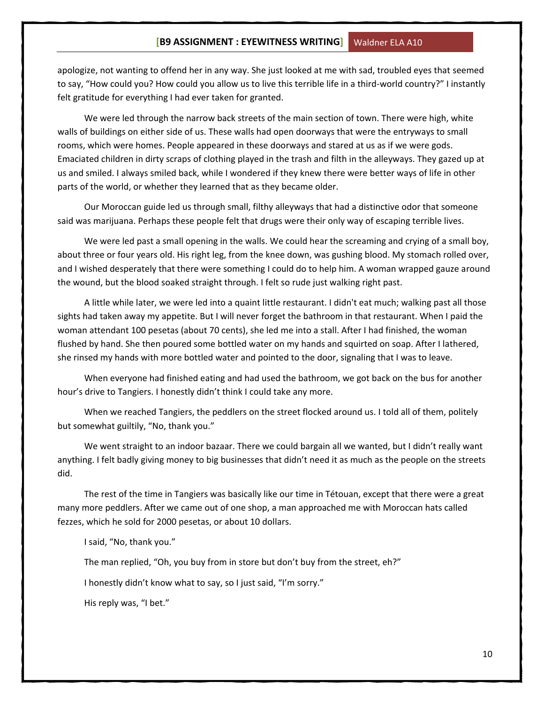apologize, not wanting to offend her in any way. She just looked at me with sad, troubled eyes that seemed to say, "How could you? How could you allow us to live this terrible life in a third-world country?" I instantly felt gratitude for everything I had ever taken for granted.

We were led through the narrow back streets of the main section of town. There were high, white walls of buildings on either side of us. These walls had open doorways that were the entryways to small rooms, which were homes. People appeared in these doorways and stared at us as if we were gods. Emaciated children in dirty scraps of clothing played in the trash and filth in the alleyways. They gazed up at us and smiled. I always smiled back, while I wondered if they knew there were better ways of life in other parts of the world, or whether they learned that as they became older.

Our Moroccan guide led us through small, filthy alleyways that had a distinctive odor that someone said was marijuana. Perhaps these people felt that drugs were their only way of escaping terrible lives.

We were led past a small opening in the walls. We could hear the screaming and crying of a small boy, about three or four years old. His right leg, from the knee down, was gushing blood. My stomach rolled over, and I wished desperately that there were something I could do to help him. A woman wrapped gauze around the wound, but the blood soaked straight through. I felt so rude just walking right past.

A little while later, we were led into a quaint little restaurant. I didn't eat much; walking past all those sights had taken away my appetite. But I will never forget the bathroom in that restaurant. When I paid the woman attendant 100 pesetas (about 70 cents), she led me into a stall. After I had finished, the woman flushed by hand. She then poured some bottled water on my hands and squirted on soap. After I lathered, she rinsed my hands with more bottled water and pointed to the door, signaling that I was to leave.

When everyone had finished eating and had used the bathroom, we got back on the bus for another hour's drive to Tangiers. I honestly didn't think I could take any more.

When we reached Tangiers, the peddlers on the street flocked around us. I told all of them, politely but somewhat guiltily, "No, thank you."

We went straight to an indoor bazaar. There we could bargain all we wanted, but I didn't really want anything. I felt badly giving money to big businesses that didn't need it as much as the people on the streets did.

The rest of the time in Tangiers was basically like our time in Tétouan, except that there were a great many more peddlers. After we came out of one shop, a man approached me with Moroccan hats called fezzes, which he sold for 2000 pesetas, or about 10 dollars.

I said, "No, thank you."

The man replied, "Oh, you buy from in store but don't buy from the street, eh?"

I honestly didn't know what to say, so I just said, "I'm sorry."

His reply was, "I bet."